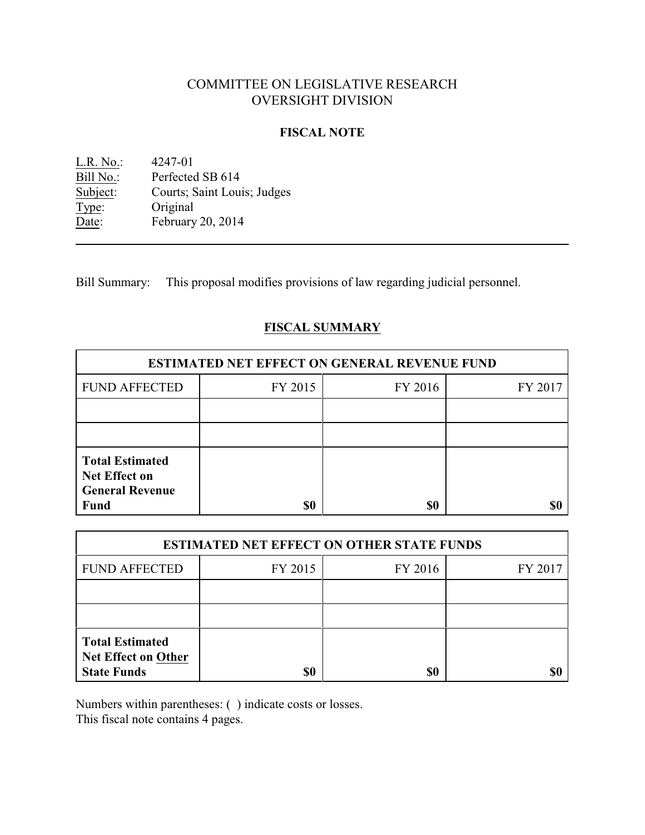# COMMITTEE ON LEGISLATIVE RESEARCH OVERSIGHT DIVISION

## **FISCAL NOTE**

| L.R. No.: | 4247-01                     |
|-----------|-----------------------------|
| Bill No.: | Perfected SB 614            |
| Subject:  | Courts; Saint Louis; Judges |
| Type:     | Original                    |
| Date:     | February 20, 2014           |

Bill Summary: This proposal modifies provisions of law regarding judicial personnel.

# **FISCAL SUMMARY**

| <b>ESTIMATED NET EFFECT ON GENERAL REVENUE FUND</b>                      |         |         |         |  |
|--------------------------------------------------------------------------|---------|---------|---------|--|
| <b>FUND AFFECTED</b>                                                     | FY 2015 | FY 2016 | FY 2017 |  |
|                                                                          |         |         |         |  |
|                                                                          |         |         |         |  |
| <b>Total Estimated</b><br><b>Net Effect on</b><br><b>General Revenue</b> |         |         |         |  |
| <b>Fund</b>                                                              | \$0     | \$0     |         |  |

| <b>ESTIMATED NET EFFECT ON OTHER STATE FUNDS</b>                           |         |         |         |  |
|----------------------------------------------------------------------------|---------|---------|---------|--|
| <b>FUND AFFECTED</b>                                                       | FY 2015 | FY 2016 | FY 2017 |  |
|                                                                            |         |         |         |  |
|                                                                            |         |         |         |  |
| <b>Total Estimated</b><br><b>Net Effect on Other</b><br><b>State Funds</b> | \$0     | \$0     |         |  |

Numbers within parentheses: ( ) indicate costs or losses.

This fiscal note contains 4 pages.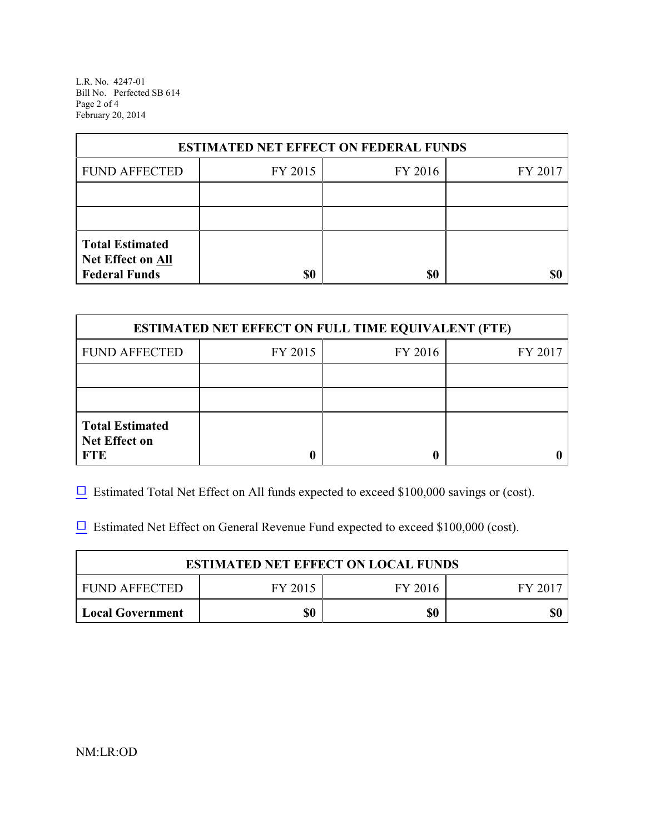L.R. No. 4247-01 Bill No. Perfected SB 614 Page 2 of 4 February 20, 2014

| <b>ESTIMATED NET EFFECT ON FEDERAL FUNDS</b> |         |         |         |  |
|----------------------------------------------|---------|---------|---------|--|
| <b>FUND AFFECTED</b>                         | FY 2015 | FY 2016 | FY 2017 |  |
|                                              |         |         |         |  |
|                                              |         |         |         |  |
| <b>Total Estimated</b><br>Net Effect on All  |         |         |         |  |
| <b>Federal Funds</b>                         | \$0     | \$0     |         |  |

| <b>ESTIMATED NET EFFECT ON FULL TIME EQUIVALENT (FTE)</b>    |         |         |         |  |
|--------------------------------------------------------------|---------|---------|---------|--|
| <b>FUND AFFECTED</b>                                         | FY 2015 | FY 2016 | FY 2017 |  |
|                                                              |         |         |         |  |
|                                                              |         |         |         |  |
| <b>Total Estimated</b><br><b>Net Effect on</b><br><b>FTE</b> |         |         |         |  |

 $\Box$  Estimated Total Net Effect on All funds expected to exceed \$100,000 savings or (cost).

 $\Box$  Estimated Net Effect on General Revenue Fund expected to exceed \$100,000 (cost).

| <b>ESTIMATED NET EFFECT ON LOCAL FUNDS</b> |         |         |         |
|--------------------------------------------|---------|---------|---------|
| FUND AFFECTED                              | FY 2015 | FY 2016 | FY 2017 |
| <b>Local Government</b>                    | \$0     | \$0     | \$0     |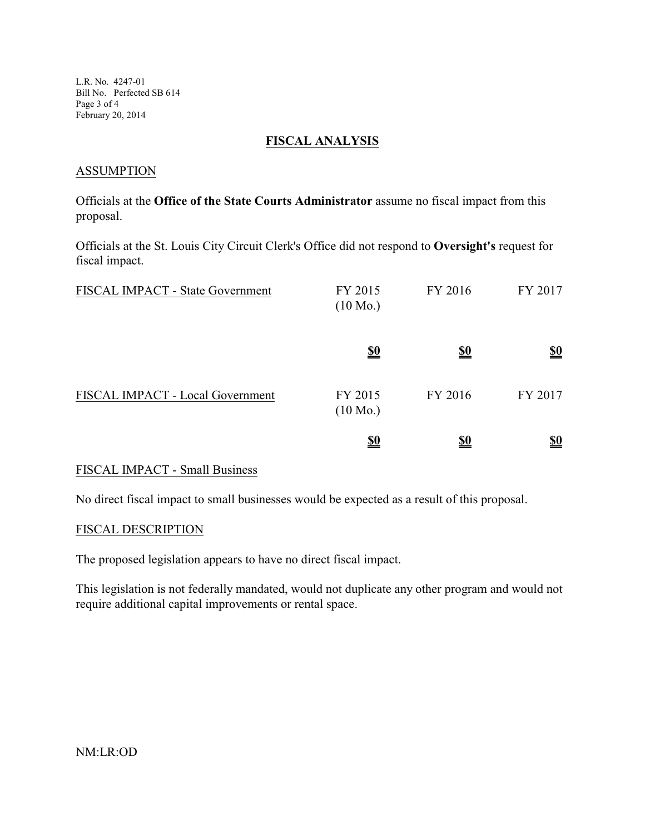L.R. No. 4247-01 Bill No. Perfected SB 614 Page 3 of 4 February 20, 2014

### **FISCAL ANALYSIS**

#### **ASSUMPTION**

Officials at the **Office of the State Courts Administrator** assume no fiscal impact from this proposal.

Officials at the St. Louis City Circuit Clerk's Office did not respond to **Oversight's** request for fiscal impact.

| FISCAL IMPACT - State Government | FY 2015<br>$(10 \text{ Mo.})$ | FY 2016    | FY 2017                       |
|----------------------------------|-------------------------------|------------|-------------------------------|
|                                  | <u>\$0</u>                    | <u>\$0</u> | $\underline{\underline{\$0}}$ |
| FISCAL IMPACT - Local Government | FY 2015<br>$(10 \text{ Mo.})$ | FY 2016    | FY 2017                       |
|                                  | <u>\$0</u>                    | <u>\$0</u> | <u>\$0</u>                    |

## FISCAL IMPACT - Small Business

No direct fiscal impact to small businesses would be expected as a result of this proposal.

#### FISCAL DESCRIPTION

The proposed legislation appears to have no direct fiscal impact.

This legislation is not federally mandated, would not duplicate any other program and would not require additional capital improvements or rental space.